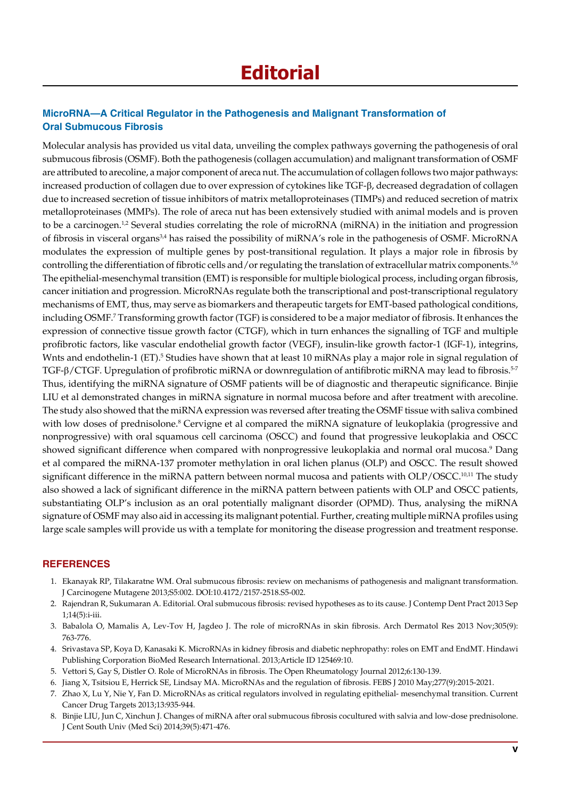# **MicroRNA—A Critical Regulator in the Pathogenesis and Malignant Transformation of Oral Submucous Fibrosis**

Molecular analysis has provided us vital data, unveiling the complex pathways governing the pathogenesis of oral submucous fibrosis (OSMF). Both the pathogenesis (collagen accumulation) and malignant transformation of OSMF are attributed to arecoline, a major component of areca nut. The accumulation of collagen follows two major pathways: increased production of collagen due to over expression of cytokines like TGF-β, decreased degradation of collagen due to increased secretion of tissue inhibitors of matrix metalloproteinases (TIMPs) and reduced secretion of matrix metalloproteinases (MMPs). The role of areca nut has been extensively studied with animal models and is proven to be a carcinogen.<sup>1,2</sup> Several studies correlating the role of microRNA (miRNA) in the initiation and progression of fibrosis in visceral organs<sup>3,4</sup> has raised the possibility of miRNA's role in the pathogenesis of OSMF. MicroRNA modulates the expression of multiple genes by post-transitional regulation. It plays a major role in fibrosis by controlling the differentiation of fibrotic cells and/or regulating the translation of extracellular matrix components.<sup>5,6</sup> The epithelial-mesenchymal transition (EMT) is responsible for multiple biological process, including organ fibrosis, cancer initiation and progression. MicroRNAs regulate both the transcriptional and post-transcriptional regulatory mechanisms of EMT, thus, may serve as biomarkers and therapeutic targets for EMT-based pathological conditions, including OSMF.<sup>7</sup> Transforming growth factor (TGF) is considered to be a major mediator of fibrosis. It enhances the expression of connective tissue growth factor (CTGF), which in turn enhances the signalling of TGF and multiple profibrotic factors, like vascular endothelial growth factor (VEGF), insulin-like growth factor-1 (IGF-1), integrins, Wnts and endothelin-1 (ET).<sup>5</sup> Studies have shown that at least 10 miRNAs play a major role in signal regulation of TGF-β/CTGF. Upregulation of profibrotic miRNA or downregulation of antifibrotic miRNA may lead to fibrosis.<sup>5-7</sup> Thus, identifying the miRNA signature of OSMF patients will be of diagnostic and therapeutic significance. Binjie LIU et al demonstrated changes in miRNA signature in normal mucosa before and after treatment with arecoline. The study also showed that the miRNA expression was reversed after treating the OSMF tissue with saliva combined with low doses of prednisolone.<sup>8</sup> Cervigne et al compared the miRNA signature of leukoplakia (progressive and nonprogressive) with oral squamous cell carcinoma (OSCC) and found that progressive leukoplakia and OSCC showed significant difference when compared with nonprogressive leukoplakia and normal oral mucosa.<sup>9</sup> Dang et al compared the miRNA-137 promoter methylation in oral lichen planus (OLP) and OSCC. The result showed significant difference in the miRNA pattern between normal mucosa and patients with OLP/OSCC.<sup>10,11</sup> The study also showed a lack of significant difference in the miRNA pattern between patients with OLP and OSCC patients, substantiating OLP's inclusion as an oral potentially malignant disorder (OPMD). Thus, analysing the miRNA signature of OSMF may also aid in accessing its malignant potential. Further, creating multiple miRNA profiles using large scale samples will provide us with a template for monitoring the disease progression and treatment response.

## **References**

- 1. Ekanayak RP, Tilakaratne WM. Oral submucous fibrosis: review on mechanisms of pathogenesis and malignant transformation. J Carcinogene Mutagene 2013; S5:002. DOI:10.4172/2157-2518.S5-002.
- 2. Rajendran R, Sukumaran A. Editorial. Oral submucous fibrosis: revised hypotheses as to its cause. J Contemp Dent Pract 2013 Sep 1;14(5):i-iii.
- 3. Babalola O, Mamalis A, Lev-Tov H, Jagdeo J. The role of microRNAs in skin fibrosis. Arch Dermatol Res 2013 Nov;305(9): 763-776.
- 4. Srivastava SP, Koya D, Kanasaki K. MicroRNAs in kidney fibrosis and diabetic nephropathy: roles on EMT and EndMT. Hindawi Publishing Corporation BioMed Research International. 2013;Article ID 125469:10.
- 5. Vettori S, Gay S, Distler O. Role of MicroRNAs in fibrosis. The Open Rheumatology Journal 2012;6:130-139.
- 6. Jiang X, Tsitsiou E, Herrick SE, Lindsay MA. MicroRNAs and the regulation of fibrosis. FEBS J 2010 May;277(9):2015-2021.
- 7. Zhao X, Lu Y, Nie Y, Fan D. MicroRNAs as critical regulators involved in regulating epithelial- mesenchymal transition. Current Cancer Drug Targets 2013;13:935-944.
- 8. Binjie LIU, Jun C, Xinchun J. Changes of miRNA after oral submucous fibrosis cocultured with salvia and low-dose prednisolone. J Cent South Univ (Med Sci) 2014;39(5):471-476.